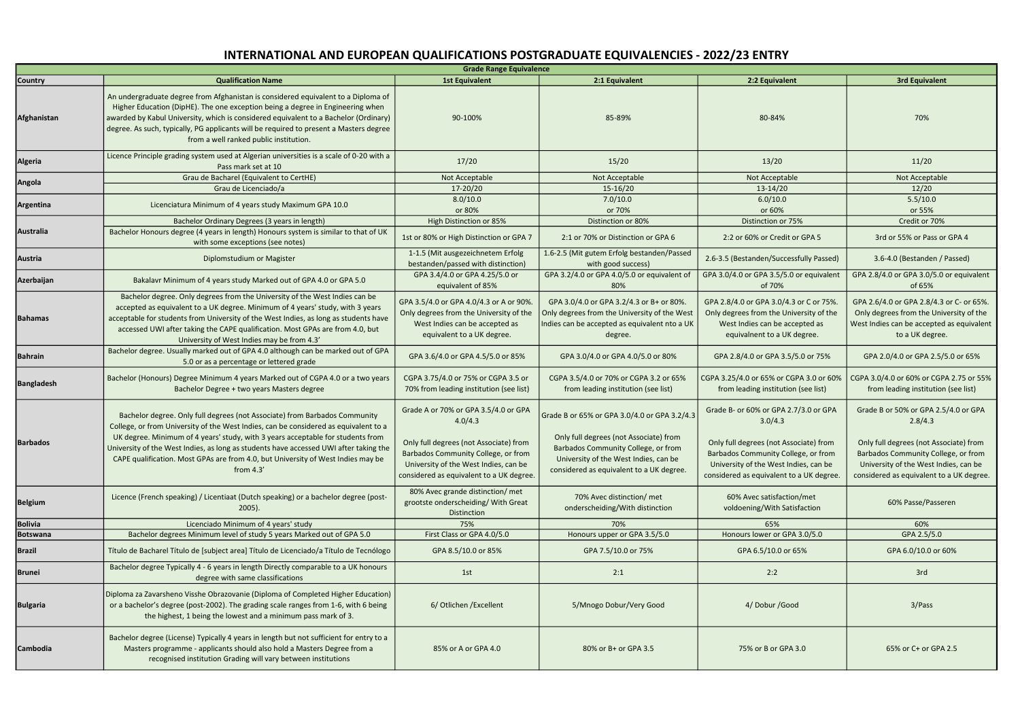| <b>Grade Range Equivalence</b> |                                                                                                                                                                                                                                                                                                                                                                                                                                                   |                                                                                                                                                                                                                       |                                                                                                                                                                                                                    |                                                                                                                                                                                                                        |                                                                                                                                                                                                                       |  |
|--------------------------------|---------------------------------------------------------------------------------------------------------------------------------------------------------------------------------------------------------------------------------------------------------------------------------------------------------------------------------------------------------------------------------------------------------------------------------------------------|-----------------------------------------------------------------------------------------------------------------------------------------------------------------------------------------------------------------------|--------------------------------------------------------------------------------------------------------------------------------------------------------------------------------------------------------------------|------------------------------------------------------------------------------------------------------------------------------------------------------------------------------------------------------------------------|-----------------------------------------------------------------------------------------------------------------------------------------------------------------------------------------------------------------------|--|
| Country                        | <b>Qualification Name</b>                                                                                                                                                                                                                                                                                                                                                                                                                         | <b>1st Equivalent</b>                                                                                                                                                                                                 | 2:1 Equivalent                                                                                                                                                                                                     | 2:2 Equivalent                                                                                                                                                                                                         | <b>3rd Equivalent</b>                                                                                                                                                                                                 |  |
| Afghanistan                    | An undergraduate degree from Afghanistan is considered equivalent to a Diploma of<br>Higher Education (DipHE). The one exception being a degree in Engineering when<br>awarded by Kabul University, which is considered equivalent to a Bachelor (Ordinary)<br>degree. As such, typically, PG applicants will be required to present a Masters degree<br>from a well ranked public institution.                                                   | 90-100%                                                                                                                                                                                                               | 85-89%                                                                                                                                                                                                             | 80-84%                                                                                                                                                                                                                 | 70%                                                                                                                                                                                                                   |  |
| <b>Algeria</b>                 | Licence Principle grading system used at Algerian universities is a scale of 0-20 with a<br>Pass mark set at 10                                                                                                                                                                                                                                                                                                                                   | 17/20                                                                                                                                                                                                                 | 15/20                                                                                                                                                                                                              | 13/20                                                                                                                                                                                                                  | 11/20                                                                                                                                                                                                                 |  |
| Angola                         | Grau de Bacharel (Equivalent to CertHE)                                                                                                                                                                                                                                                                                                                                                                                                           | Not Acceptable                                                                                                                                                                                                        | Not Acceptable                                                                                                                                                                                                     | Not Acceptable                                                                                                                                                                                                         | Not Acceptable                                                                                                                                                                                                        |  |
|                                | Grau de Licenciado/a                                                                                                                                                                                                                                                                                                                                                                                                                              | 17-20/20                                                                                                                                                                                                              | $15-16/20$                                                                                                                                                                                                         | $13-14/20$                                                                                                                                                                                                             | 12/20                                                                                                                                                                                                                 |  |
| Argentina                      | Licenciatura Minimum of 4 years study Maximum GPA 10.0                                                                                                                                                                                                                                                                                                                                                                                            | 8.0/10.0<br>or 80%                                                                                                                                                                                                    | 7.0/10.0<br>or 70%                                                                                                                                                                                                 | 6.0/10.0<br>or 60%                                                                                                                                                                                                     | 5.5/10.0<br>or 55%                                                                                                                                                                                                    |  |
|                                | Bachelor Ordinary Degrees (3 years in length)                                                                                                                                                                                                                                                                                                                                                                                                     | High Distinction or 85%                                                                                                                                                                                               | Distinction or 80%                                                                                                                                                                                                 | Distinction or 75%                                                                                                                                                                                                     | Credit or 70%                                                                                                                                                                                                         |  |
| Australia                      | Bachelor Honours degree (4 years in length) Honours system is similar to that of UK<br>with some exceptions (see notes)                                                                                                                                                                                                                                                                                                                           | 1st or 80% or High Distinction or GPA 7                                                                                                                                                                               | 2:1 or 70% or Distinction or GPA 6                                                                                                                                                                                 | 2:2 or 60% or Credit or GPA 5                                                                                                                                                                                          | 3rd or 55% or Pass or GPA 4                                                                                                                                                                                           |  |
| Austria                        | Diplomstudium or Magister                                                                                                                                                                                                                                                                                                                                                                                                                         | 1-1.5 (Mit ausgezeichnetem Erfolg<br>bestanden/passed with distinction)                                                                                                                                               | 1.6-2.5 (Mit gutem Erfolg bestanden/Passed<br>with good success)                                                                                                                                                   | 2.6-3.5 (Bestanden/Successfully Passed)                                                                                                                                                                                | 3.6-4.0 (Bestanden / Passed)                                                                                                                                                                                          |  |
| Azerbaijan                     | Bakalavr Minimum of 4 years study Marked out of GPA 4.0 or GPA 5.0                                                                                                                                                                                                                                                                                                                                                                                | GPA 3.4/4.0 or GPA 4.25/5.0 or<br>equivalent of 85%                                                                                                                                                                   | GPA 3.2/4.0 or GPA 4.0/5.0 or equivalent of<br>80%                                                                                                                                                                 | GPA 3.0/4.0 or GPA 3.5/5.0 or equivalent<br>of 70%                                                                                                                                                                     | GPA 2.8/4.0 or GPA 3.0/5.0 or equivalent<br>of 65%                                                                                                                                                                    |  |
| <b>Bahamas</b>                 | Bachelor degree. Only degrees from the University of the West Indies can be<br>accepted as equivalent to a UK degree. Minimum of 4 years' study, with 3 years<br>acceptable for students from University of the West Indies, as long as students have<br>accessed UWI after taking the CAPE qualification. Most GPAs are from 4.0, but<br>University of West Indies may be from 4.3'                                                              | GPA 3.5/4.0 or GPA 4.0/4.3 or A or 90%.<br>Only degrees from the University of the<br>West Indies can be accepted as<br>equivalent to a UK degree.                                                                    | GPA 3.0/4.0 or GPA 3.2/4.3 or B+ or 80%.<br>Only degrees from the University of the West<br>Indies can be accepted as equivalent nto a UK<br>degree.                                                               | GPA 2.8/4.0 or GPA 3.0/4.3 or C or 75%.<br>Only degrees from the University of the<br>West Indies can be accepted as<br>equivalnent to a UK degree.                                                                    | GPA 2.6/4.0 or GPA 2.8/4.3 or C- or 65%.<br>Only degrees from the University of the<br>West Indies can be accepted as equivalent<br>to a UK degree.                                                                   |  |
| <b>Bahrain</b>                 | Bachelor degree. Usually marked out of GPA 4.0 although can be marked out of GPA<br>5.0 or as a percentage or lettered grade                                                                                                                                                                                                                                                                                                                      | GPA 3.6/4.0 or GPA 4.5/5.0 or 85%                                                                                                                                                                                     | GPA 3.0/4.0 or GPA 4.0/5.0 or 80%                                                                                                                                                                                  | GPA 2.8/4.0 or GPA 3.5/5.0 or 75%                                                                                                                                                                                      | GPA 2.0/4.0 or GPA 2.5/5.0 or 65%                                                                                                                                                                                     |  |
| <b>Bangladesh</b>              | Bachelor (Honours) Degree Minimum 4 years Marked out of CGPA 4.0 or a two years<br>Bachelor Degree + two years Masters degree                                                                                                                                                                                                                                                                                                                     | CGPA 3.75/4.0 or 75% or CGPA 3.5 or<br>70% from leading institution (see list)                                                                                                                                        | CGPA 3.5/4.0 or 70% or CGPA 3.2 or 65%<br>from leading institution (see list)                                                                                                                                      | CGPA 3.25/4.0 or 65% or CGPA 3.0 or 60%<br>from leading institution (see list)                                                                                                                                         | CGPA 3.0/4.0 or 60% or CGPA 2.75 or 55%<br>from leading institution (see list)                                                                                                                                        |  |
| <b>Barbados</b>                | Bachelor degree. Only full degrees (not Associate) from Barbados Community<br>College, or from University of the West Indies, can be considered as equivalent to a<br>UK degree. Minimum of 4 years' study, with 3 years acceptable for students from<br>University of the West Indies, as long as students have accessed UWI after taking the<br>CAPE qualification. Most GPAs are from 4.0, but University of West Indies may be<br>from $4.3'$ | Grade A or 70% or GPA 3.5/4.0 or GPA<br>4.0/4.3<br>Only full degrees (not Associate) from<br>Barbados Community College, or from<br>University of the West Indies, can be<br>considered as equivalent to a UK degree. | Grade B or 65% or GPA 3.0/4.0 or GPA 3.2/4.3<br>Only full degrees (not Associate) from<br>Barbados Community College, or from<br>University of the West Indies, can be<br>considered as equivalent to a UK degree. | Grade B- or 60% or GPA 2.7/3.0 or GPA<br>3.0/4.3<br>Only full degrees (not Associate) from<br>Barbados Community College, or from<br>University of the West Indies, can be<br>considered as equivalent to a UK degree. | Grade B or 50% or GPA 2.5/4.0 or GPA<br>2.8/4.3<br>Only full degrees (not Associate) from<br>Barbados Community College, or from<br>University of the West Indies, can be<br>considered as equivalent to a UK degree. |  |
| <b>Belgium</b>                 | Licence (French speaking) / Licentiaat (Dutch speaking) or a bachelor degree (post-<br>$2005$ ).                                                                                                                                                                                                                                                                                                                                                  | 80% Avec grande distinction/ met<br>grootste onderscheiding/ With Great<br>Distinction                                                                                                                                | 70% Avec distinction/ met<br>onderscheiding/With distinction                                                                                                                                                       | 60% Avec satisfaction/met<br>voldoening/With Satisfaction                                                                                                                                                              | 60% Passe/Passeren                                                                                                                                                                                                    |  |
| <b>Bolivia</b>                 | Licenciado Minimum of 4 years' study                                                                                                                                                                                                                                                                                                                                                                                                              | 75%                                                                                                                                                                                                                   | 70%                                                                                                                                                                                                                | 65%                                                                                                                                                                                                                    | 60%                                                                                                                                                                                                                   |  |
| <b>Botswana</b>                | Bachelor degrees Minimum level of study 5 years Marked out of GPA 5.0                                                                                                                                                                                                                                                                                                                                                                             | First Class or GPA 4.0/5.0                                                                                                                                                                                            | Honours upper or GPA 3.5/5.0                                                                                                                                                                                       | Honours lower or GPA 3.0/5.0                                                                                                                                                                                           | GPA 2.5/5.0                                                                                                                                                                                                           |  |
| <b>Brazil</b>                  | Título de Bacharel Título de [subject area] Título de Licenciado/a Título de Tecnólogo                                                                                                                                                                                                                                                                                                                                                            | GPA 8.5/10.0 or 85%                                                                                                                                                                                                   | GPA 7.5/10.0 or 75%                                                                                                                                                                                                | GPA 6.5/10.0 or 65%                                                                                                                                                                                                    | GPA 6.0/10.0 or 60%                                                                                                                                                                                                   |  |
| <b>Brunei</b>                  | Bachelor degree Typically 4 - 6 years in length Directly comparable to a UK honours<br>degree with same classifications                                                                                                                                                                                                                                                                                                                           | 1st                                                                                                                                                                                                                   | 2:1                                                                                                                                                                                                                | 2:2                                                                                                                                                                                                                    | 3rd                                                                                                                                                                                                                   |  |
| <b>Bulgaria</b>                | Diploma za Zavarsheno Visshe Obrazovanie (Diploma of Completed Higher Education)<br>or a bachelor's degree (post-2002). The grading scale ranges from 1-6, with 6 being<br>the highest, 1 being the lowest and a minimum pass mark of 3.                                                                                                                                                                                                          | 6/ Otlichen / Excellent                                                                                                                                                                                               | 5/Mnogo Dobur/Very Good                                                                                                                                                                                            | 4/ Dobur / Good                                                                                                                                                                                                        | 3/Pass                                                                                                                                                                                                                |  |
| Cambodia                       | Bachelor degree (License) Typically 4 years in length but not sufficient for entry to a<br>Masters programme - applicants should also hold a Masters Degree from a<br>recognised institution Grading will vary between institutions                                                                                                                                                                                                               | 85% or A or GPA 4.0                                                                                                                                                                                                   | 80% or B+ or GPA 3.5                                                                                                                                                                                               | 75% or B or GPA 3.0                                                                                                                                                                                                    | 65% or C+ or GPA 2.5                                                                                                                                                                                                  |  |

## INTERNATIONAL AND EUROPEAN QUALIFICATIONS POSTGRADUATE EQUIVALENCIES - 2022/23 ENTRY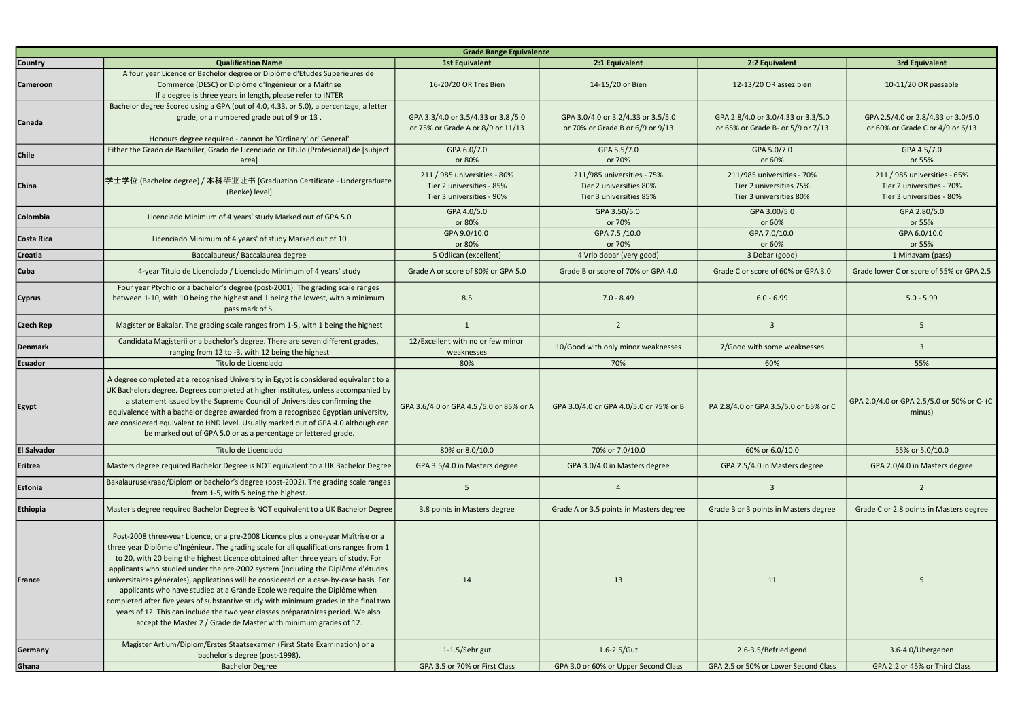| <b>Grade Range Equivalence</b> |                                                                                                                                                                                                                                                                                                                                                                                                                                                                                                                                                                                                                                                                                                                                                                              |                                                                                        |                                                                                  |                                                                                  |                                                                                        |  |
|--------------------------------|------------------------------------------------------------------------------------------------------------------------------------------------------------------------------------------------------------------------------------------------------------------------------------------------------------------------------------------------------------------------------------------------------------------------------------------------------------------------------------------------------------------------------------------------------------------------------------------------------------------------------------------------------------------------------------------------------------------------------------------------------------------------------|----------------------------------------------------------------------------------------|----------------------------------------------------------------------------------|----------------------------------------------------------------------------------|----------------------------------------------------------------------------------------|--|
| <b>Country</b>                 | <b>Qualification Name</b>                                                                                                                                                                                                                                                                                                                                                                                                                                                                                                                                                                                                                                                                                                                                                    | <b>1st Equivalent</b>                                                                  | 2:1 Equivalent                                                                   | 2:2 Equivalent                                                                   | <b>3rd Equivalent</b>                                                                  |  |
| <b>Cameroon</b>                | A four year Licence or Bachelor degree or Diplôme d'Etudes Superieures de<br>Commerce (DESC) or Diplôme d'Ingénieur or a Maîtrise<br>If a degree is three years in length, please refer to INTER                                                                                                                                                                                                                                                                                                                                                                                                                                                                                                                                                                             | 16-20/20 OR Tres Bien                                                                  | 14-15/20 or Bien                                                                 | 12-13/20 OR assez bien                                                           | 10-11/20 OR passable                                                                   |  |
| Canada                         | Bachelor degree Scored using a GPA (out of 4.0, 4.33, or 5.0), a percentage, a letter<br>grade, or a numbered grade out of 9 or 13.<br>Honours degree required - cannot be 'Ordinary' or' General'                                                                                                                                                                                                                                                                                                                                                                                                                                                                                                                                                                           | GPA 3.3/4.0 or 3.5/4.33 or 3.8 /5.0<br>or 75% or Grade A or 8/9 or 11/13               | GPA 3.0/4.0 or 3.2/4.33 or 3.5/5.0<br>or 70% or Grade B or 6/9 or 9/13           | GPA 2.8/4.0 or 3.0/4.33 or 3.3/5.0<br>or 65% or Grade B- or 5/9 or 7/13          | GPA 2.5/4.0 or 2.8/4.33 or 3.0/5.0<br>or 60% or Grade C or 4/9 or 6/13                 |  |
| Chile                          | Either the Grado de Bachiller, Grado de Licenciado or Título (Profesional) de [subject<br>areal                                                                                                                                                                                                                                                                                                                                                                                                                                                                                                                                                                                                                                                                              | GPA 6.0/7.0<br>or 80%                                                                  | GPA 5.5/7.0<br>or 70%                                                            | GPA 5.0/7.0<br>or 60%                                                            | GPA 4.5/7.0<br>or 55%                                                                  |  |
| China                          | 学士学位 (Bachelor degree) / 本科毕业证书 [Graduation Certificate - Undergraduate<br>(Benke) level]                                                                                                                                                                                                                                                                                                                                                                                                                                                                                                                                                                                                                                                                                    | 211 / 985 universities - 80%<br>Tier 2 universities - 85%<br>Tier 3 universities - 90% | 211/985 universities - 75%<br>Tier 2 universities 80%<br>Tier 3 universities 85% | 211/985 universities - 70%<br>Tier 2 universities 75%<br>Tier 3 universities 80% | 211 / 985 universities - 65%<br>Tier 2 universities - 70%<br>Tier 3 universities - 80% |  |
| Colombia                       | Licenciado Minimum of 4 years' study Marked out of GPA 5.0                                                                                                                                                                                                                                                                                                                                                                                                                                                                                                                                                                                                                                                                                                                   | GPA 4.0/5.0<br>or 80%                                                                  | GPA 3.50/5.0<br>or 70%                                                           | GPA 3.00/5.0<br>or 60%                                                           | GPA 2.80/5.0<br>or 55%                                                                 |  |
| Costa Rica                     | Licenciado Minimum of 4 years' of study Marked out of 10                                                                                                                                                                                                                                                                                                                                                                                                                                                                                                                                                                                                                                                                                                                     | GPA 9.0/10.0<br>or 80%                                                                 | GPA 7.5 /10.0<br>or 70%                                                          | GPA 7.0/10.0<br>or 60%                                                           | GPA 6.0/10.0<br>or 55%                                                                 |  |
| Croatia                        | Baccalaureus/ Baccalaurea degree                                                                                                                                                                                                                                                                                                                                                                                                                                                                                                                                                                                                                                                                                                                                             | 5 Odlican (excellent)                                                                  | 4 Vrlo dobar (very good)                                                         | 3 Dobar (good)                                                                   | 1 Minavam (pass)                                                                       |  |
| <b>Cuba</b>                    | 4-year Titulo de Licenciado / Licenciado Minimum of 4 years' study                                                                                                                                                                                                                                                                                                                                                                                                                                                                                                                                                                                                                                                                                                           | Grade A or score of 80% or GPA 5.0                                                     | Grade B or score of 70% or GPA 4.0                                               | Grade C or score of 60% or GPA 3.0                                               | Grade lower C or score of 55% or GPA 2.5                                               |  |
| <b>Cyprus</b>                  | Four year Ptychio or a bachelor's degree (post-2001). The grading scale ranges<br>between 1-10, with 10 being the highest and 1 being the lowest, with a minimum<br>pass mark of 5.                                                                                                                                                                                                                                                                                                                                                                                                                                                                                                                                                                                          | 8.5                                                                                    | $7.0 - 8.49$                                                                     | $6.0 - 6.99$                                                                     | $5.0 - 5.99$                                                                           |  |
| <b>Czech Rep</b>               | Magister or Bakalar. The grading scale ranges from 1-5, with 1 being the highest                                                                                                                                                                                                                                                                                                                                                                                                                                                                                                                                                                                                                                                                                             | $\mathbf{1}$                                                                           | $\overline{2}$                                                                   | $\overline{3}$                                                                   | 5                                                                                      |  |
| <b>Denmark</b>                 | Candidata Magisterii or a bachelor's degree. There are seven different grades,<br>ranging from 12 to -3, with 12 being the highest                                                                                                                                                                                                                                                                                                                                                                                                                                                                                                                                                                                                                                           | 12/Excellent with no or few minor<br>weaknesses                                        | 10/Good with only minor weaknesses                                               | 7/Good with some weaknesses                                                      | 3                                                                                      |  |
| <b>Ecuador</b>                 | Titulo de Licenciado                                                                                                                                                                                                                                                                                                                                                                                                                                                                                                                                                                                                                                                                                                                                                         | 80%                                                                                    | 70%                                                                              | 60%                                                                              | 55%                                                                                    |  |
| <b>Egypt</b>                   | A degree completed at a recognised University in Egypt is considered equivalent to a<br>UK Bachelors degree. Degrees completed at higher institutes, unless accompanied by<br>a statement issued by the Supreme Council of Universities confirming the<br>equivalence with a bachelor degree awarded from a recognised Egyptian university,<br>are considered equivalent to HND level. Usually marked out of GPA 4.0 although can<br>be marked out of GPA 5.0 or as a percentage or lettered grade.                                                                                                                                                                                                                                                                          | GPA 3.6/4.0 or GPA 4.5 /5.0 or 85% or A                                                | GPA 3.0/4.0 or GPA 4.0/5.0 or 75% or B                                           | PA 2.8/4.0 or GPA 3.5/5.0 or 65% or C                                            | GPA 2.0/4.0 or GPA 2.5/5.0 or 50% or C- (C<br>minus)                                   |  |
| <b>El Salvador</b>             | Titulo de Licenciado                                                                                                                                                                                                                                                                                                                                                                                                                                                                                                                                                                                                                                                                                                                                                         | 80% or 8.0/10.0                                                                        | 70% or 7.0/10.0                                                                  | 60% or 6.0/10.0                                                                  | 55% or 5.0/10.0                                                                        |  |
| Eritrea                        | Masters degree required Bachelor Degree is NOT equivalent to a UK Bachelor Degree                                                                                                                                                                                                                                                                                                                                                                                                                                                                                                                                                                                                                                                                                            | GPA 3.5/4.0 in Masters degree                                                          | GPA 3.0/4.0 in Masters degree                                                    | GPA 2.5/4.0 in Masters degree                                                    | GPA 2.0/4.0 in Masters degree                                                          |  |
| Estonia                        | Bakalaurusekraad/Diplom or bachelor's degree (post-2002). The grading scale ranges<br>from 1-5, with 5 being the highest.                                                                                                                                                                                                                                                                                                                                                                                                                                                                                                                                                                                                                                                    | -5                                                                                     |                                                                                  | $\overline{3}$                                                                   | $\overline{2}$                                                                         |  |
| Ethiopia                       | Master's degree required Bachelor Degree is NOT equivalent to a UK Bachelor Degree                                                                                                                                                                                                                                                                                                                                                                                                                                                                                                                                                                                                                                                                                           | 3.8 points in Masters degree                                                           | Grade A or 3.5 points in Masters degree                                          | Grade B or 3 points in Masters degree                                            | Grade C or 2.8 points in Masters degree                                                |  |
| France                         | Post-2008 three-year Licence, or a pre-2008 Licence plus a one-year Maîtrise or a<br>three year Diplôme d'Ingénieur. The grading scale for all qualifications ranges from 1<br>to 20, with 20 being the highest Licence obtained after three years of study. For<br>applicants who studied under the pre-2002 system (including the Diplôme d'études<br>universitaires générales), applications will be considered on a case-by-case basis. For<br>applicants who have studied at a Grande Ecole we require the Diplôme when<br>completed after five years of substantive study with minimum grades in the final two<br>years of 12. This can include the two year classes préparatoires period. We also<br>accept the Master 2 / Grade de Master with minimum grades of 12. | 14                                                                                     | 13                                                                               | 11                                                                               | 5                                                                                      |  |
|                                |                                                                                                                                                                                                                                                                                                                                                                                                                                                                                                                                                                                                                                                                                                                                                                              |                                                                                        |                                                                                  |                                                                                  |                                                                                        |  |
| <b>Germany</b><br>Ghana        | Magister Artium/Diplom/Erstes Staatsexamen (First State Examination) or a<br>bachelor's degree (post-1998).<br><b>Bachelor Degree</b>                                                                                                                                                                                                                                                                                                                                                                                                                                                                                                                                                                                                                                        | 1-1.5/Sehr gut<br>GPA 3.5 or 70% or First Class                                        | $1.6 - 2.5/Gut$<br>GPA 3.0 or 60% or Upper Second Class                          | 2.6-3.5/Befriedigend<br>GPA 2.5 or 50% or Lower Second Class                     | 3.6-4.0/Ubergeben<br>GPA 2.2 or 45% or Third Class                                     |  |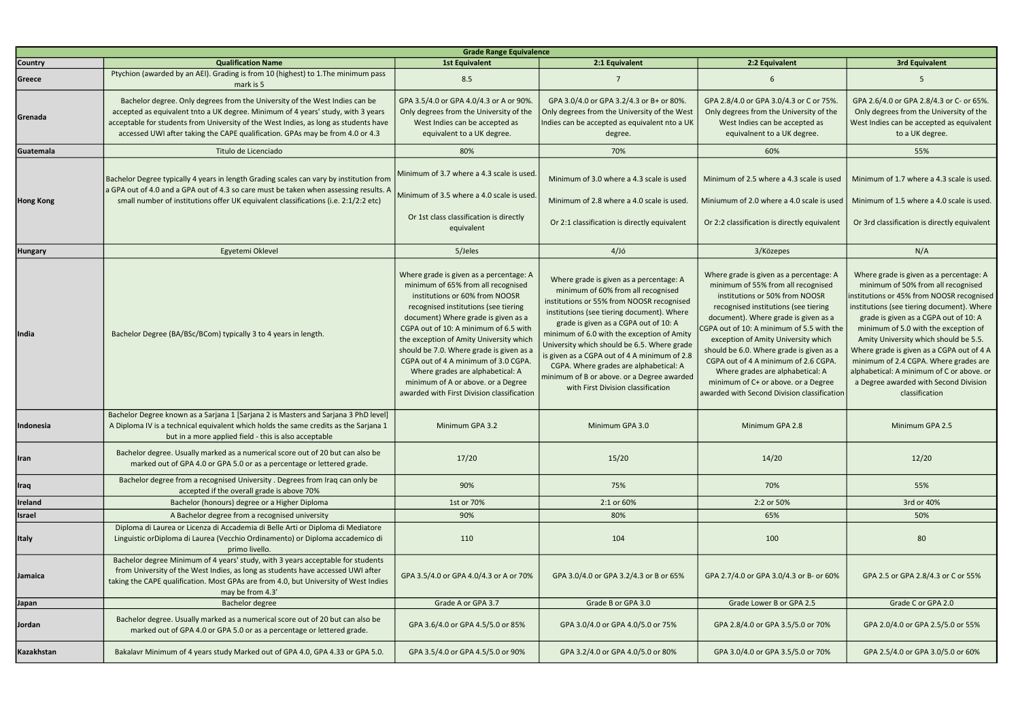| <b>Grade Range Equivalence</b> |                                                                                                                                                                                                                                                                                                                                          |                                                                                                                                                                                                                                                                                                                                                                                                                                                                                                |                                                                                                                                                                                                                                                                                                                                                                                                                                                                                              |                                                                                                                                                                                                                                                                                                                                                                                                                                                                                                   |                                                                                                                                                                                                                                                                                                                                                                                                                                                                                                 |
|--------------------------------|------------------------------------------------------------------------------------------------------------------------------------------------------------------------------------------------------------------------------------------------------------------------------------------------------------------------------------------|------------------------------------------------------------------------------------------------------------------------------------------------------------------------------------------------------------------------------------------------------------------------------------------------------------------------------------------------------------------------------------------------------------------------------------------------------------------------------------------------|----------------------------------------------------------------------------------------------------------------------------------------------------------------------------------------------------------------------------------------------------------------------------------------------------------------------------------------------------------------------------------------------------------------------------------------------------------------------------------------------|---------------------------------------------------------------------------------------------------------------------------------------------------------------------------------------------------------------------------------------------------------------------------------------------------------------------------------------------------------------------------------------------------------------------------------------------------------------------------------------------------|-------------------------------------------------------------------------------------------------------------------------------------------------------------------------------------------------------------------------------------------------------------------------------------------------------------------------------------------------------------------------------------------------------------------------------------------------------------------------------------------------|
| <b>Country</b>                 | <b>Qualification Name</b>                                                                                                                                                                                                                                                                                                                | <b>1st Equivalent</b>                                                                                                                                                                                                                                                                                                                                                                                                                                                                          | 2:1 Equivalent                                                                                                                                                                                                                                                                                                                                                                                                                                                                               | 2:2 Equivalent                                                                                                                                                                                                                                                                                                                                                                                                                                                                                    | <b>3rd Equivalent</b>                                                                                                                                                                                                                                                                                                                                                                                                                                                                           |
| Greece                         | Ptychion (awarded by an AEI). Grading is from 10 (highest) to 1. The minimum pass<br>mark is 5                                                                                                                                                                                                                                           | 8.5                                                                                                                                                                                                                                                                                                                                                                                                                                                                                            |                                                                                                                                                                                                                                                                                                                                                                                                                                                                                              |                                                                                                                                                                                                                                                                                                                                                                                                                                                                                                   |                                                                                                                                                                                                                                                                                                                                                                                                                                                                                                 |
| Grenada                        | Bachelor degree. Only degrees from the University of the West Indies can be<br>accepted as equivalent tnto a UK degree. Minimum of 4 years' study, with 3 years<br>acceptable for students from University of the West Indies, as long as students have<br>accessed UWI after taking the CAPE qualification. GPAs may be from 4.0 or 4.3 | GPA 3.5/4.0 or GPA 4.0/4.3 or A or 90%.<br>Only degrees from the University of the<br>West Indies can be accepted as<br>equivalent to a UK degree.                                                                                                                                                                                                                                                                                                                                             | GPA 3.0/4.0 or GPA 3.2/4.3 or B+ or 80%.<br>Only degrees from the University of the West<br>Indies can be accepted as equivalent nto a UK<br>degree.                                                                                                                                                                                                                                                                                                                                         | GPA 2.8/4.0 or GPA 3.0/4.3 or C or 75%.<br>Only degrees from the University of the<br>West Indies can be accepted as<br>equivalnent to a UK degree.                                                                                                                                                                                                                                                                                                                                               | GPA 2.6/4.0 or GPA 2.8/4.3 or C- or 65%.<br>Only degrees from the University of the<br>West Indies can be accepted as equivalent<br>to a UK degree.                                                                                                                                                                                                                                                                                                                                             |
| Guatemala                      | Titulo de Licenciado                                                                                                                                                                                                                                                                                                                     | 80%                                                                                                                                                                                                                                                                                                                                                                                                                                                                                            | 70%                                                                                                                                                                                                                                                                                                                                                                                                                                                                                          | 60%                                                                                                                                                                                                                                                                                                                                                                                                                                                                                               | 55%                                                                                                                                                                                                                                                                                                                                                                                                                                                                                             |
| <b>Hong Kong</b>               | Bachelor Degree typically 4 years in length Grading scales can vary by institution from<br>a GPA out of 4.0 and a GPA out of 4.3 so care must be taken when assessing results. A<br>small number of institutions offer UK equivalent classifications (i.e. 2:1/2:2 etc)                                                                  | Minimum of 3.7 where a 4.3 scale is used.<br>Minimum of 3.5 where a 4.0 scale is used.<br>Or 1st class classification is directly<br>equivalent                                                                                                                                                                                                                                                                                                                                                | Minimum of 3.0 where a 4.3 scale is used<br>Minimum of 2.8 where a 4.0 scale is used.<br>Or 2:1 classification is directly equivalent                                                                                                                                                                                                                                                                                                                                                        | Minimum of 2.5 where a 4.3 scale is used<br>Miniumum of 2.0 where a 4.0 scale is used   Minimum of 1.5 where a 4.0 scale is used.<br>Or 2:2 classification is directly equivalent                                                                                                                                                                                                                                                                                                                 | Minimum of 1.7 where a 4.3 scale is used.<br>Or 3rd classification is directly equivalent                                                                                                                                                                                                                                                                                                                                                                                                       |
| <b>Hungary</b>                 | Egyetemi Oklevel                                                                                                                                                                                                                                                                                                                         | 5/Jeles                                                                                                                                                                                                                                                                                                                                                                                                                                                                                        | $4/J$ ó                                                                                                                                                                                                                                                                                                                                                                                                                                                                                      | 3/Közepes                                                                                                                                                                                                                                                                                                                                                                                                                                                                                         | N/A                                                                                                                                                                                                                                                                                                                                                                                                                                                                                             |
| India                          | Bachelor Degree (BA/BSc/BCom) typically 3 to 4 years in length.                                                                                                                                                                                                                                                                          | Where grade is given as a percentage: A<br>minimum of 65% from all recognised<br>institutions or 60% from NOOSR<br>recognised institutions (see tiering<br>document) Where grade is given as a<br>CGPA out of 10: A minimum of 6.5 with<br>the exception of Amity University which<br>should be 7.0. Where grade is given as a<br>CGPA out of 4 A minimum of 3.0 CGPA.<br>Where grades are alphabetical: A<br>minimum of A or above. or a Degree<br>awarded with First Division classification | Where grade is given as a percentage: A<br>minimum of 60% from all recognised<br>institutions or 55% from NOOSR recognised<br>institutions (see tiering document). Where<br>grade is given as a CGPA out of 10: A<br>minimum of 6.0 with the exception of Amity<br>University which should be 6.5. Where grade<br>is given as a CGPA out of 4 A minimum of 2.8<br>CGPA. Where grades are alphabetical: A<br>minimum of B or above. or a Degree awarded<br>with First Division classification | Where grade is given as a percentage: A<br>minimum of 55% from all recognised<br>institutions or 50% from NOOSR<br>recognised institutions (see tiering<br>document). Where grade is given as a<br>CGPA out of 10: A minimum of 5.5 with the<br>exception of Amity University which<br>should be 6.0. Where grade is given as a<br>CGPA out of 4 A minimum of 2.6 CGPA.<br>Where grades are alphabetical: A<br>minimum of C+ or above. or a Degree<br>awarded with Second Division classification | Where grade is given as a percentage: A<br>minimum of 50% from all recognised<br>nstitutions or 45% from NOOSR recognised<br>institutions (see tiering document). Where<br>grade is given as a CGPA out of 10: A<br>minimum of 5.0 with the exception of<br>Amity University which should be 5.5.<br>Where grade is given as a CGPA out of 4 A<br>minimum of 2.4 CGPA. Where grades are<br>alphabetical: A minimum of C or above. or<br>a Degree awarded with Second Division<br>classification |
| Indonesia                      | Bachelor Degree known as a Sarjana 1 [Sarjana 2 is Masters and Sarjana 3 PhD level]<br>A Diploma IV is a technical equivalent which holds the same credits as the Sarjana 1<br>but in a more applied field - this is also acceptable                                                                                                     | Minimum GPA 3.2                                                                                                                                                                                                                                                                                                                                                                                                                                                                                | Minimum GPA 3.0                                                                                                                                                                                                                                                                                                                                                                                                                                                                              | Minimum GPA 2.8                                                                                                                                                                                                                                                                                                                                                                                                                                                                                   | Minimum GPA 2.5                                                                                                                                                                                                                                                                                                                                                                                                                                                                                 |
| <b>I</b> ran                   | Bachelor degree. Usually marked as a numerical score out of 20 but can also be<br>marked out of GPA 4.0 or GPA 5.0 or as a percentage or lettered grade.                                                                                                                                                                                 | 17/20                                                                                                                                                                                                                                                                                                                                                                                                                                                                                          | 15/20                                                                                                                                                                                                                                                                                                                                                                                                                                                                                        | 14/20                                                                                                                                                                                                                                                                                                                                                                                                                                                                                             | 12/20                                                                                                                                                                                                                                                                                                                                                                                                                                                                                           |
| Iraq                           | Bachelor degree from a recognised University . Degrees from Iraq can only be<br>accepted if the overall grade is above 70%                                                                                                                                                                                                               | 90%                                                                                                                                                                                                                                                                                                                                                                                                                                                                                            | 75%                                                                                                                                                                                                                                                                                                                                                                                                                                                                                          | 70%                                                                                                                                                                                                                                                                                                                                                                                                                                                                                               | 55%                                                                                                                                                                                                                                                                                                                                                                                                                                                                                             |
| Ireland                        | Bachelor (honours) degree or a Higher Diploma                                                                                                                                                                                                                                                                                            | 1st or 70%                                                                                                                                                                                                                                                                                                                                                                                                                                                                                     | 2:1 or 60%                                                                                                                                                                                                                                                                                                                                                                                                                                                                                   | 2:2 or 50%                                                                                                                                                                                                                                                                                                                                                                                                                                                                                        | 3rd or 40%                                                                                                                                                                                                                                                                                                                                                                                                                                                                                      |
| <b>Israel</b>                  | A Bachelor degree from a recognised university                                                                                                                                                                                                                                                                                           | 90%                                                                                                                                                                                                                                                                                                                                                                                                                                                                                            | 80%                                                                                                                                                                                                                                                                                                                                                                                                                                                                                          | 65%                                                                                                                                                                                                                                                                                                                                                                                                                                                                                               | 50%                                                                                                                                                                                                                                                                                                                                                                                                                                                                                             |
| <b>Italy</b>                   | Diploma di Laurea or Licenza di Accademia di Belle Arti or Diploma di Mediatore<br>Linguistic orDiploma di Laurea (Vecchio Ordinamento) or Diploma accademico di<br>primo livello.                                                                                                                                                       | 110                                                                                                                                                                                                                                                                                                                                                                                                                                                                                            | 104                                                                                                                                                                                                                                                                                                                                                                                                                                                                                          | 100                                                                                                                                                                                                                                                                                                                                                                                                                                                                                               | 80                                                                                                                                                                                                                                                                                                                                                                                                                                                                                              |
| Jamaica                        | Bachelor degree Minimum of 4 years' study, with 3 years acceptable for students<br>from University of the West Indies, as long as students have accessed UWI after<br>taking the CAPE qualification. Most GPAs are from 4.0, but University of West Indies<br>may be from 4.3'                                                           | GPA 3.5/4.0 or GPA 4.0/4.3 or A or 70%                                                                                                                                                                                                                                                                                                                                                                                                                                                         | GPA 3.0/4.0 or GPA 3.2/4.3 or B or 65%                                                                                                                                                                                                                                                                                                                                                                                                                                                       | GPA 2.7/4.0 or GPA 3.0/4.3 or B- or 60%                                                                                                                                                                                                                                                                                                                                                                                                                                                           | GPA 2.5 or GPA 2.8/4.3 or C or 55%                                                                                                                                                                                                                                                                                                                                                                                                                                                              |
| Japan                          | <b>Bachelor degree</b>                                                                                                                                                                                                                                                                                                                   | Grade A or GPA 3.7                                                                                                                                                                                                                                                                                                                                                                                                                                                                             | Grade B or GPA 3.0                                                                                                                                                                                                                                                                                                                                                                                                                                                                           | Grade Lower B or GPA 2.5                                                                                                                                                                                                                                                                                                                                                                                                                                                                          | Grade C or GPA 2.0                                                                                                                                                                                                                                                                                                                                                                                                                                                                              |
| Jordan                         | Bachelor degree. Usually marked as a numerical score out of 20 but can also be<br>marked out of GPA 4.0 or GPA 5.0 or as a percentage or lettered grade.                                                                                                                                                                                 | GPA 3.6/4.0 or GPA 4.5/5.0 or 85%                                                                                                                                                                                                                                                                                                                                                                                                                                                              | GPA 3.0/4.0 or GPA 4.0/5.0 or 75%                                                                                                                                                                                                                                                                                                                                                                                                                                                            | GPA 2.8/4.0 or GPA 3.5/5.0 or 70%                                                                                                                                                                                                                                                                                                                                                                                                                                                                 | GPA 2.0/4.0 or GPA 2.5/5.0 or 55%                                                                                                                                                                                                                                                                                                                                                                                                                                                               |
| Kazakhstan                     | Bakalavr Minimum of 4 years study Marked out of GPA 4.0, GPA 4.33 or GPA 5.0.                                                                                                                                                                                                                                                            | GPA 3.5/4.0 or GPA 4.5/5.0 or 90%                                                                                                                                                                                                                                                                                                                                                                                                                                                              | GPA 3.2/4.0 or GPA 4.0/5.0 or 80%                                                                                                                                                                                                                                                                                                                                                                                                                                                            | GPA 3.0/4.0 or GPA 3.5/5.0 or 70%                                                                                                                                                                                                                                                                                                                                                                                                                                                                 | GPA 2.5/4.0 or GPA 3.0/5.0 or 60%                                                                                                                                                                                                                                                                                                                                                                                                                                                               |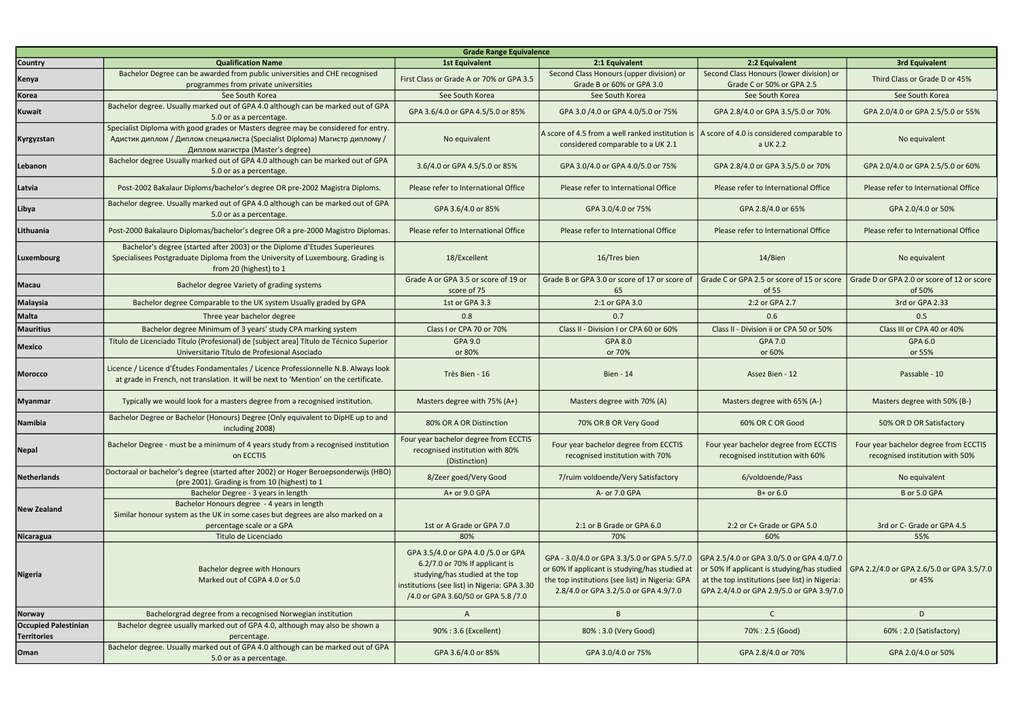| <b>Grade Range Equivalence</b>                    |                                                                                                                                                                                                       |                                                                                                                                                                                                |                                                                                                                                                                                           |                                                                                                                                                                                         |                                                                          |
|---------------------------------------------------|-------------------------------------------------------------------------------------------------------------------------------------------------------------------------------------------------------|------------------------------------------------------------------------------------------------------------------------------------------------------------------------------------------------|-------------------------------------------------------------------------------------------------------------------------------------------------------------------------------------------|-----------------------------------------------------------------------------------------------------------------------------------------------------------------------------------------|--------------------------------------------------------------------------|
| <b>Country</b>                                    | <b>Qualification Name</b>                                                                                                                                                                             | <b>1st Equivalent</b>                                                                                                                                                                          | 2:1 Equivalent                                                                                                                                                                            | 2:2 Equivalent                                                                                                                                                                          | <b>3rd Equivalent</b>                                                    |
| Kenya                                             | Bachelor Degree can be awarded from public universities and CHE recognised<br>programmes from private universities                                                                                    | First Class or Grade A or 70% or GPA 3.5                                                                                                                                                       | Second Class Honours (upper division) or<br>Grade B or 60% or GPA 3.0                                                                                                                     | Second Class Honours (lower division) or<br>Grade C or 50% or GPA 2.5                                                                                                                   | Third Class or Grade D or 45%                                            |
| Korea                                             | See South Korea                                                                                                                                                                                       | See South Korea                                                                                                                                                                                | See South Korea                                                                                                                                                                           | See South Korea                                                                                                                                                                         | See South Korea                                                          |
| <b>Kuwait</b>                                     | Bachelor degree. Usually marked out of GPA 4.0 although can be marked out of GPA<br>5.0 or as a percentage.                                                                                           | GPA 3.6/4.0 or GPA 4.5/5.0 or 85%                                                                                                                                                              | GPA 3.0 /4.0 or GPA 4.0/5.0 or 75%                                                                                                                                                        | GPA 2.8/4.0 or GPA 3.5/5.0 or 70%                                                                                                                                                       | GPA 2.0/4.0 or GPA 2.5/5.0 or 55%                                        |
| Kyrgyzstan                                        | Specialist Diploma with good grades or Masters degree may be considered for entry.<br>Адистик диплом / Диплом специалиста (Specialist Diploma) Магистр диплому /<br>Диплом магистра (Master's degree) | No equivalent                                                                                                                                                                                  | A score of 4.5 from a well ranked institution is   A score of 4.0 is considered comparable to<br>considered comparable to a UK 2.1                                                        | a UK 2.2                                                                                                                                                                                | No equivalent                                                            |
| Lebanon                                           | Bachelor degree Usually marked out of GPA 4.0 although can be marked out of GPA<br>5.0 or as a percentage.                                                                                            | 3.6/4.0 or GPA 4.5/5.0 or 85%                                                                                                                                                                  | GPA 3.0/4.0 or GPA 4.0/5.0 or 75%                                                                                                                                                         | GPA 2.8/4.0 or GPA 3.5/5.0 or 70%                                                                                                                                                       | GPA 2.0/4.0 or GPA 2.5/5.0 or 60%                                        |
| Latvia                                            | Post-2002 Bakalaur Diploms/bachelor's degree OR pre-2002 Magistra Diploms.                                                                                                                            | Please refer to International Office                                                                                                                                                           | Please refer to International Office                                                                                                                                                      | Please refer to International Office                                                                                                                                                    | Please refer to International Office                                     |
| Libya                                             | Bachelor degree. Usually marked out of GPA 4.0 although can be marked out of GPA<br>5.0 or as a percentage.                                                                                           | GPA 3.6/4.0 or 85%                                                                                                                                                                             | GPA 3.0/4.0 or 75%                                                                                                                                                                        | GPA 2.8/4.0 or 65%                                                                                                                                                                      | GPA 2.0/4.0 or 50%                                                       |
| Lithuania                                         | Post-2000 Bakalauro Diplomas/bachelor's degree OR a pre-2000 Magistro Diplomas                                                                                                                        | Please refer to International Office                                                                                                                                                           | Please refer to International Office                                                                                                                                                      | Please refer to International Office                                                                                                                                                    | Please refer to International Office                                     |
| Luxembourg                                        | Bachelor's degree (started after 2003) or the Diplome d'Etudes Superieures<br>Specialisees Postgraduate Diploma from the University of Luxembourg. Grading is<br>from 20 (highest) to 1               | 18/Excellent                                                                                                                                                                                   | 16/Tres bien                                                                                                                                                                              | 14/Bien                                                                                                                                                                                 | No equivalent                                                            |
| <b>Macau</b>                                      | Bachelor degree Variety of grading systems                                                                                                                                                            | Grade A or GPA 3.5 or score of 19 or<br>score of 75                                                                                                                                            | Grade B or GPA 3.0 or score of 17 or score of<br>65                                                                                                                                       | Grade C or GPA 2.5 or score of 15 or score<br>of 55                                                                                                                                     | Grade D or GPA 2.0 or score of 12 or score<br>of 50%                     |
| <b>Malaysia</b>                                   | Bachelor degree Comparable to the UK system Usually graded by GPA                                                                                                                                     | 1st or GPA 3.3                                                                                                                                                                                 | 2:1 or GPA 3.0                                                                                                                                                                            | 2:2 or GPA 2.7                                                                                                                                                                          | 3rd or GPA 2.33                                                          |
| <b>Malta</b>                                      | Three year bachelor degree                                                                                                                                                                            | 0.8                                                                                                                                                                                            | 0.7                                                                                                                                                                                       | 0.6                                                                                                                                                                                     | 0.5                                                                      |
| <b>Mauritius</b>                                  | Bachelor degree Minimum of 3 years' study CPA marking system                                                                                                                                          | Class I or CPA 70 or 70%                                                                                                                                                                       | Class II - Division I or CPA 60 or 60%                                                                                                                                                    | Class II - Division ii or CPA 50 or 50%                                                                                                                                                 | Class III or CPA 40 or 40%                                               |
| <b>Mexico</b>                                     | Título de Licenciado Título (Profesional) de [subject area] Título de Técnico Superior<br>Universitario Título de Profesional Asociado                                                                | GPA 9.0<br>or 80%                                                                                                                                                                              | <b>GPA 8.0</b><br>or 70%                                                                                                                                                                  | GPA 7.0<br>or 60%                                                                                                                                                                       | GPA 6.0<br>or 55%                                                        |
| <b>Morocco</b>                                    | Licence / Licence d'Études Fondamentales / Licence Professionnelle N.B. Always look<br>at grade in French, not translation. It will be next to 'Mention' on the certificate.                          | Très Bien - 16                                                                                                                                                                                 | <b>Bien - 14</b>                                                                                                                                                                          | Assez Bien - 12                                                                                                                                                                         | Passable - 10                                                            |
| <b>Myanmar</b>                                    | Typically we would look for a masters degree from a recognised institution.                                                                                                                           | Masters degree with 75% (A+)                                                                                                                                                                   | Masters degree with 70% (A)                                                                                                                                                               | Masters degree with 65% (A-)                                                                                                                                                            | Masters degree with 50% (B-)                                             |
| Namibia                                           | Bachelor Degree or Bachelor (Honours) Degree (Only equivalent to DipHE up to and<br>including 2008)                                                                                                   | 80% OR A OR Distinction                                                                                                                                                                        | 70% OR B OR Very Good                                                                                                                                                                     | 60% OR C OR Good                                                                                                                                                                        | 50% OR D OR Satisfactory                                                 |
| <b>Nepal</b>                                      | Bachelor Degree - must be a minimum of 4 years study from a recognised institution<br>on ECCTIS                                                                                                       | Four year bachelor degree from ECCTIS<br>recognised institution with 80%<br>(Distinction)                                                                                                      | Four year bachelor degree from ECCTIS<br>recognised institution with 70%                                                                                                                  | Four year bachelor degree from ECCTIS<br>recognised institution with 60%                                                                                                                | Four year bachelor degree from ECCTIS<br>recognised institution with 50% |
| <b>Netherlands</b>                                | Doctoraal or bachelor's degree (started after 2002) or Hoger Beroepsonderwijs (HBO)<br>(pre 2001). Grading is from 10 (highest) to 1                                                                  | 8/Zeer goed/Very Good                                                                                                                                                                          | 7/ruim voldoende/Very Satisfactory                                                                                                                                                        | 6/voldoende/Pass                                                                                                                                                                        | No equivalent                                                            |
|                                                   | Bachelor Degree - 3 years in length                                                                                                                                                                   | A+ or 9.0 GPA                                                                                                                                                                                  | A- or 7.0 GPA                                                                                                                                                                             | $B+$ or 6.0                                                                                                                                                                             | B or 5.0 GPA                                                             |
| <b>New Zealand</b>                                | Bachelor Honours degree - 4 years in length<br>Similar honour system as the UK in some cases but degrees are also marked on a<br>percentage scale or a GPA                                            | 1st or A Grade or GPA 7.0                                                                                                                                                                      | 2:1 or B Grade or GPA 6.0                                                                                                                                                                 | 2:2 or C+ Grade or GPA 5.0                                                                                                                                                              | 3rd or C- Grade or GPA 4.5                                               |
| Nicaragua                                         | Titulo de Licenciado                                                                                                                                                                                  | 80%                                                                                                                                                                                            | 70%                                                                                                                                                                                       | 60%                                                                                                                                                                                     | 55%                                                                      |
| <b>Nigeria</b>                                    | Bachelor degree with Honours<br>Marked out of CGPA 4.0 or 5.0                                                                                                                                         | GPA 3.5/4.0 or GPA 4.0 /5.0 or GPA<br>6.2/7.0 or 70% If applicant is<br>studying/has studied at the top<br>institutions (see list) in Nigeria: GPA 3.30<br>/4.0 or GPA 3.60/50 or GPA 5.8 /7.0 | GPA - 3.0/4.0 or GPA 3.3/5.0 or GPA 5.5/7.0<br>or 60% If applicant is studying/has studied at<br>the top institutions (see list) in Nigeria: GPA<br>2.8/4.0 or GPA 3.2/5.0 or GPA 4.9/7.0 | GPA 2.5/4.0 or GPA 3.0/5.0 or GPA 4.0/7.0<br>or 50% If applicant is studying/has studied<br>at the top institutions (see list) in Nigeria:<br>GPA 2.4/4.0 or GPA 2.9/5.0 or GPA 3.9/7.0 | GPA 2.2/4.0 or GPA 2.6/5.0 or GPA 3.5/7.0<br>or 45%                      |
| <b>Norway</b>                                     | Bachelorgrad degree from a recognised Norwegian institution                                                                                                                                           | $\mathsf{A}$                                                                                                                                                                                   | B                                                                                                                                                                                         | $\mathsf{C}$                                                                                                                                                                            | D                                                                        |
| <b>Occupied Palestinian</b><br><b>Territories</b> | Bachelor degree usually marked out of GPA 4.0, although may also be shown a<br>percentage.                                                                                                            | 90%: 3.6 (Excellent)                                                                                                                                                                           | 80%: 3.0 (Very Good)                                                                                                                                                                      | 70% : 2.5 (Good)                                                                                                                                                                        | 60%: 2.0 (Satisfactory)                                                  |
| Oman                                              | Bachelor degree. Usually marked out of GPA 4.0 although can be marked out of GPA<br>5.0 or as a percentage.                                                                                           | GPA 3.6/4.0 or 85%                                                                                                                                                                             | GPA 3.0/4.0 or 75%                                                                                                                                                                        | GPA 2.8/4.0 or 70%                                                                                                                                                                      | GPA 2.0/4.0 or 50%                                                       |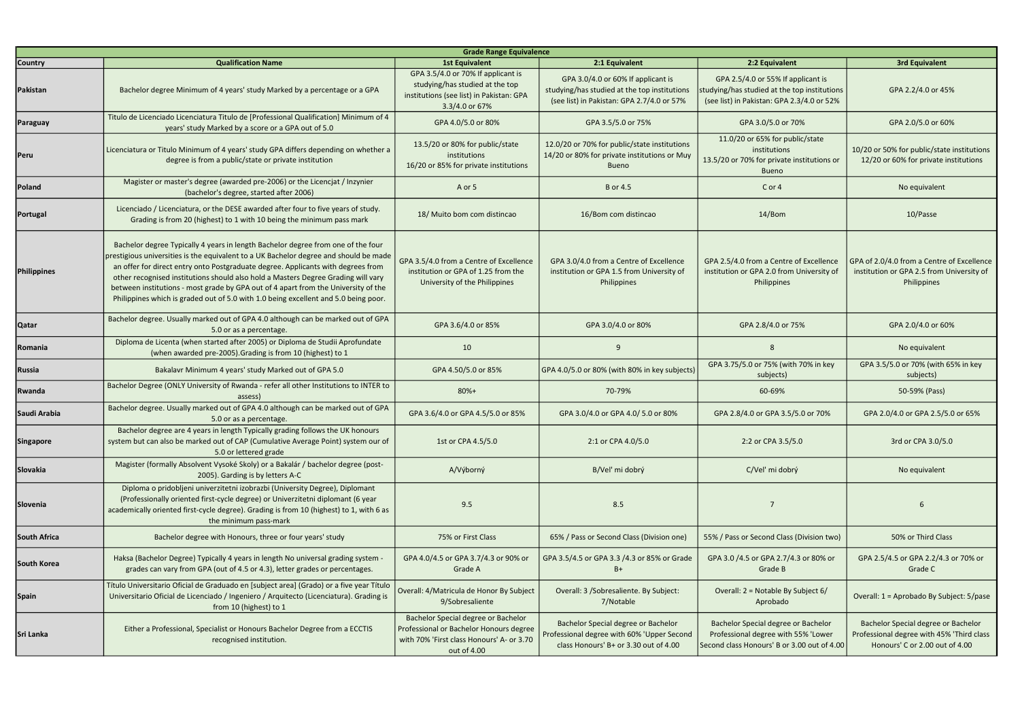| <b>Grade Range Equivalence</b> |                                                                                                                                                                                                                                                                                                                                                                                                                                                                                                                                 |                                                                                                                                            |                                                                                                                                  |                                                                                                                                 |                                                                                                                    |
|--------------------------------|---------------------------------------------------------------------------------------------------------------------------------------------------------------------------------------------------------------------------------------------------------------------------------------------------------------------------------------------------------------------------------------------------------------------------------------------------------------------------------------------------------------------------------|--------------------------------------------------------------------------------------------------------------------------------------------|----------------------------------------------------------------------------------------------------------------------------------|---------------------------------------------------------------------------------------------------------------------------------|--------------------------------------------------------------------------------------------------------------------|
| <b>Country</b>                 | <b>Qualification Name</b>                                                                                                                                                                                                                                                                                                                                                                                                                                                                                                       | <b>1st Equivalent</b>                                                                                                                      | 2:1 Equivalent                                                                                                                   | 2:2 Equivalent                                                                                                                  | <b>3rd Equivalent</b>                                                                                              |
| Pakistan                       | Bachelor degree Minimum of 4 years' study Marked by a percentage or a GPA                                                                                                                                                                                                                                                                                                                                                                                                                                                       | GPA 3.5/4.0 or 70% If applicant is<br>studying/has studied at the top<br>institutions (see list) in Pakistan: GPA<br>3.3/4.0 or 67%        | GPA 3.0/4.0 or 60% If applicant is<br>studying/has studied at the top institutions<br>(see list) in Pakistan: GPA 2.7/4.0 or 57% | GPA 2.5/4.0 or 55% If applicant is<br>tudying/has studied at the top institutions<br>(see list) in Pakistan: GPA 2.3/4.0 or 52% | GPA 2.2/4.0 or 45%                                                                                                 |
| Paraguay                       | Titulo de Licenciado Licenciatura Titulo de [Professional Qualification] Minimum of 4<br>years' study Marked by a score or a GPA out of 5.0                                                                                                                                                                                                                                                                                                                                                                                     | GPA 4.0/5.0 or 80%                                                                                                                         | GPA 3.5/5.0 or 75%                                                                                                               | GPA 3.0/5.0 or 70%                                                                                                              | GPA 2.0/5.0 or 60%                                                                                                 |
| Peru                           | Licenciatura or Titulo Minimum of 4 years' study GPA differs depending on whether a<br>degree is from a public/state or private institution                                                                                                                                                                                                                                                                                                                                                                                     | 13.5/20 or 80% for public/state<br>institutions<br>16/20 or 85% for private institutions                                                   | 12.0/20 or 70% for public/state institutions<br>14/20 or 80% for private institutions or Muy<br>Bueno                            | 11.0/20 or 65% for public/state<br>institutions<br>13.5/20 or 70% for private institutions or<br><b>Bueno</b>                   | 10/20 or 50% for public/state institutions<br>12/20 or 60% for private institutions                                |
| Poland                         | Magister or master's degree (awarded pre-2006) or the Licencjat / Inzynier<br>(bachelor's degree, started after 2006)                                                                                                                                                                                                                                                                                                                                                                                                           | A or 5                                                                                                                                     | <b>B</b> or 4.5                                                                                                                  | C or 4                                                                                                                          | No equivalent                                                                                                      |
| Portugal                       | Licenciado / Licenciatura, or the DESE awarded after four to five years of study.<br>Grading is from 20 (highest) to 1 with 10 being the minimum pass mark                                                                                                                                                                                                                                                                                                                                                                      | 18/ Muito bom com distincao                                                                                                                | 16/Bom com distincao                                                                                                             | 14/Bom                                                                                                                          | 10/Passe                                                                                                           |
| <b>Philippines</b>             | Bachelor degree Typically 4 years in length Bachelor degree from one of the four<br>prestigious universities is the equivalent to a UK Bachelor degree and should be made<br>an offer for direct entry onto Postgraduate degree. Applicants with degrees from<br>other recognised institutions should also hold a Masters Degree Grading will vary<br>between institutions - most grade by GPA out of 4 apart from the University of the<br>Philippines which is graded out of 5.0 with 1.0 being excellent and 5.0 being poor. | GPA 3.5/4.0 from a Centre of Excellence<br>institution or GPA of 1.25 from the<br>University of the Philippines                            | GPA 3.0/4.0 from a Centre of Excellence<br>institution or GPA 1.5 from University of<br><b>Philippines</b>                       | GPA 2.5/4.0 from a Centre of Excellence<br>institution or GPA 2.0 from University of<br>Philippines                             | GPA of 2.0/4.0 from a Centre of Excellence<br>institution or GPA 2.5 from University of<br>Philippines             |
| <b>Qatar</b>                   | Bachelor degree. Usually marked out of GPA 4.0 although can be marked out of GPA<br>5.0 or as a percentage.                                                                                                                                                                                                                                                                                                                                                                                                                     | GPA 3.6/4.0 or 85%                                                                                                                         | GPA 3.0/4.0 or 80%                                                                                                               | GPA 2.8/4.0 or 75%                                                                                                              | GPA 2.0/4.0 or 60%                                                                                                 |
| Romania                        | Diploma de Licenta (when started after 2005) or Diploma de Studii Aprofundate<br>(when awarded pre-2005). Grading is from 10 (highest) to 1                                                                                                                                                                                                                                                                                                                                                                                     | 10                                                                                                                                         | 9                                                                                                                                | $\mathcal{R}$                                                                                                                   | No equivalent                                                                                                      |
| <b>Russia</b>                  | Bakalavr Minimum 4 years' study Marked out of GPA 5.0                                                                                                                                                                                                                                                                                                                                                                                                                                                                           | GPA 4.50/5.0 or 85%                                                                                                                        | GPA 4.0/5.0 or 80% (with 80% in key subjects)                                                                                    | GPA 3.75/5.0 or 75% (with 70% in key<br>subjects)                                                                               | GPA 3.5/5.0 or 70% (with 65% in key<br>subjects)                                                                   |
| Rwanda                         | Bachelor Degree (ONLY University of Rwanda - refer all other Institutions to INTER to<br>assess                                                                                                                                                                                                                                                                                                                                                                                                                                 | 80%+                                                                                                                                       | 70-79%                                                                                                                           | 60-69%                                                                                                                          | 50-59% (Pass)                                                                                                      |
| Saudi Arabia                   | Bachelor degree. Usually marked out of GPA 4.0 although can be marked out of GPA<br>5.0 or as a percentage.                                                                                                                                                                                                                                                                                                                                                                                                                     | GPA 3.6/4.0 or GPA 4.5/5.0 or 85%                                                                                                          | GPA 3.0/4.0 or GPA 4.0/ 5.0 or 80%                                                                                               | GPA 2.8/4.0 or GPA 3.5/5.0 or 70%                                                                                               | GPA 2.0/4.0 or GPA 2.5/5.0 or 65%                                                                                  |
| Singapore                      | Bachelor degree are 4 years in length Typically grading follows the UK honours<br>system but can also be marked out of CAP (Cumulative Average Point) system our of<br>5.0 or lettered grade                                                                                                                                                                                                                                                                                                                                    | 1st or CPA 4.5/5.0                                                                                                                         | 2:1 or CPA 4.0/5.0                                                                                                               | 2:2 or CPA 3.5/5.0                                                                                                              | 3rd or CPA 3.0/5.0                                                                                                 |
| Slovakia                       | Magister (formally Absolvent Vysoké Skoly) or a Bakalár / bachelor degree (post-<br>2005). Garding is by letters A-C                                                                                                                                                                                                                                                                                                                                                                                                            | A/Výborný                                                                                                                                  | B/Vel' mi dobrý                                                                                                                  | C/Vel' mi dobrý                                                                                                                 | No equivalent                                                                                                      |
| Slovenia                       | Diploma o pridobljeni univerzitetni izobrazbi (University Degree), Diplomant<br>(Professionally oriented first-cycle degree) or Univerzitetni diplomant (6 year<br>academically oriented first-cycle degree). Grading is from 10 (highest) to 1, with 6 as<br>the minimum pass-mark                                                                                                                                                                                                                                             | 9.5                                                                                                                                        | 8.5                                                                                                                              | 7                                                                                                                               | 6                                                                                                                  |
| <b>South Africa</b>            | Bachelor degree with Honours, three or four years' study                                                                                                                                                                                                                                                                                                                                                                                                                                                                        | 75% or First Class                                                                                                                         | 65% / Pass or Second Class (Division one)                                                                                        | 55% / Pass or Second Class (Division two)                                                                                       | 50% or Third Class                                                                                                 |
| <b>South Korea</b>             | Haksa (Bachelor Degree) Typically 4 years in length No universal grading system<br>grades can vary from GPA (out of 4.5 or 4.3), letter grades or percentages.                                                                                                                                                                                                                                                                                                                                                                  | GPA 4.0/4.5 or GPA 3.7/4.3 or 90% or<br>Grade A                                                                                            | GPA 3.5/4.5 or GPA 3.3 /4.3 or 85% or Grade<br>B+                                                                                | GPA 3.0 /4.5 or GPA 2.7/4.3 or 80% or<br>Grade B                                                                                | GPA 2.5/4.5 or GPA 2.2/4.3 or 70% or<br>Grade C                                                                    |
| <b>Spain</b>                   | Título Universitario Oficial de Graduado en [subject area] (Grado) or a five year Título<br>Universitario Oficial de Licenciado / Ingeniero / Arquitecto (Licenciatura). Grading is<br>from 10 (highest) to 1                                                                                                                                                                                                                                                                                                                   | Overall: 4/Matricula de Honor By Subject<br>9/Sobresaliente                                                                                | Overall: 3 / Sobresaliente. By Subject:<br>7/Notable                                                                             | Overall: 2 = Notable By Subject 6/<br>Aprobado                                                                                  | Overall: 1 = Aprobado By Subject: 5/pase                                                                           |
| <b>Sri Lanka</b>               | Either a Professional, Specialist or Honours Bachelor Degree from a ECCTIS<br>recognised institution.                                                                                                                                                                                                                                                                                                                                                                                                                           | Bachelor Special degree or Bachelor<br>Professional or Bachelor Honours degree<br>with 70% 'First class Honours' A- or 3.70<br>out of 4.00 | Bachelor Special degree or Bachelor<br>Professional degree with 60% 'Upper Second<br>class Honours' B+ or 3.30 out of 4.00       | Bachelor Special degree or Bachelor<br>Professional degree with 55% 'Lower<br>Second class Honours' B or 3.00 out of 4.00       | Bachelor Special degree or Bachelor<br>Professional degree with 45% 'Third class<br>Honours' C or 2.00 out of 4.00 |